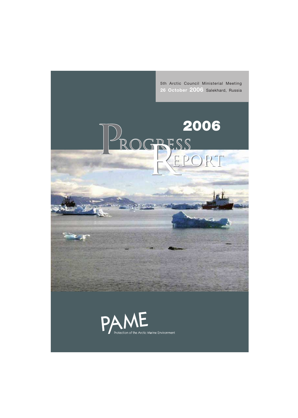5th Arctic Council Ministerial Meeting **26 October 2006** Salekhard, Russia

**2006**

PROGRESS 2006

# PAME Protection of the Arctic Marine Environment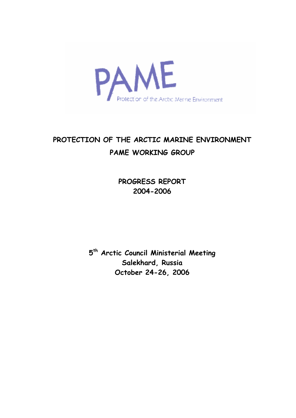

# **PROTECTION OF THE ARCTIC MARINE ENVIRONMENT PAME WORKING GROUP**

**PROGRESS REPORT 2004-2006**

**5th Arctic Council Ministerial Meeting Salekhard, Russia October 24-26, 2006**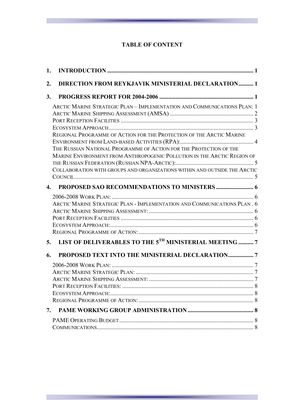#### **TABLE OF CONTENT**

| 1.           |                                                                                                                                                                                                                                                                                                                                                                                |  |
|--------------|--------------------------------------------------------------------------------------------------------------------------------------------------------------------------------------------------------------------------------------------------------------------------------------------------------------------------------------------------------------------------------|--|
| 2.           | <b>DIRECTION FROM REYKJAVIK MINISTERIAL DECLARATION 1</b>                                                                                                                                                                                                                                                                                                                      |  |
| 3.           |                                                                                                                                                                                                                                                                                                                                                                                |  |
|              | ARCTIC MARINE STRATEGIC PLAN - IMPLEMENTATION AND COMMUNICATIONS PLAN: 1<br>REGIONAL PROGRAMME OF ACTION FOR THE PROTECTION OF THE ARCTIC MARINE<br>THE RUSSIAN NATIONAL PROGRAMME OF ACTION FOR THE PROTECTION OF THE<br>MARINE ENVIRONMENT FROM ANTHROPOGENIC POLLUTION IN THE ARCTIC REGION OF<br>COLLABORATION WITH GROUPS AND ORGANIZATIONS WITHIN AND OUTSIDE THE ARCTIC |  |
|              |                                                                                                                                                                                                                                                                                                                                                                                |  |
| $\mathbf{4}$ |                                                                                                                                                                                                                                                                                                                                                                                |  |
|              | ARCTIC MARINE STRATEGIC PLAN - IMPLEMENTATION AND COMMUNICATIONS PLAN. 6                                                                                                                                                                                                                                                                                                       |  |
| 5.           | LIST OF DELIVERABLES TO THE 5TH MINISTERIAL MEETING  7                                                                                                                                                                                                                                                                                                                         |  |
| 6.           |                                                                                                                                                                                                                                                                                                                                                                                |  |
|              |                                                                                                                                                                                                                                                                                                                                                                                |  |
|              |                                                                                                                                                                                                                                                                                                                                                                                |  |
|              |                                                                                                                                                                                                                                                                                                                                                                                |  |
|              |                                                                                                                                                                                                                                                                                                                                                                                |  |
|              |                                                                                                                                                                                                                                                                                                                                                                                |  |
| 7.           |                                                                                                                                                                                                                                                                                                                                                                                |  |
|              |                                                                                                                                                                                                                                                                                                                                                                                |  |
|              |                                                                                                                                                                                                                                                                                                                                                                                |  |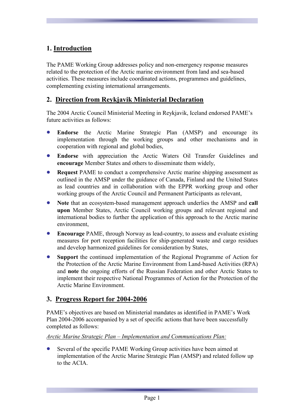# **1. Introduction**

The PAME Working Group addresses policy and non-emergency response measures related to the protection of the Arctic marine environment from land and sea-based activities. These measures include coordinated actions, programmes and guidelines, complementing existing international arrangements.

### **2. Direction from Reykjavik Ministerial Declaration**

The 2004 Arctic Council Ministerial Meeting in Reykjavik, Iceland endorsed PAME's future activities as follows:

- **Endorse** the Arctic Marine Strategic Plan (AMSP) and encourage its implementation through the working groups and other mechanisms and in cooperation with regional and global bodies,
- **Endorse** with appreciation the Arctic Waters Oil Transfer Guidelines and **encourage** Member States and others to disseminate them widely,
- **Request** PAME to conduct a comprehensive Arctic marine shipping assessment as outlined in the AMSP under the guidance of Canada, Finland and the United States as lead countries and in collaboration with the EPPR working group and other working groups of the Arctic Council and Permanent Participants as relevant,
- **Note** that an ecosystem-based management approach underlies the AMSP and **call upon** Member States, Arctic Council working groups and relevant regional and international bodies to further the application of this approach to the Arctic marine environment,
- **Encourage** PAME, through Norway as lead-country, to assess and evaluate existing measures for port reception facilities for ship-generated waste and cargo residues and develop harmonized guidelines for consideration by States,
- **Support** the continued implementation of the Regional Programme of Action for the Protection of the Arctic Marine Environment from Land-based Activities (RPA) and **note** the ongoing efforts of the Russian Federation and other Arctic States to implement their respective National Programmes of Action for the Protection of the Arctic Marine Environment.

#### **3. Progress Report for 2004-2006**

PAME's objectives are based on Ministerial mandates as identified in PAME's Work Plan 2004-2006 accompanied by a set of specific actions that have been successfully completed as follows:

*Arctic Marine Strategic Plan – Implementation and Communications Plan:*

Several of the specific PAME Working Group activities have been aimed at implementation of the Arctic Marine Strategic Plan (AMSP) and related follow up to the ACIA.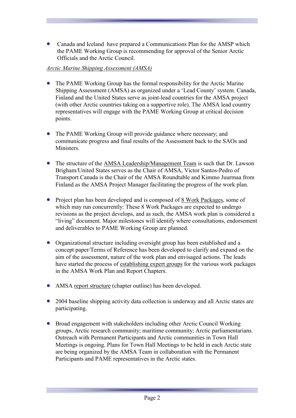• Canada and Iceland have prepared a Communications Plan for the AMSP which the PAME Working Group is recommending for approval of the Senior Arctic Officials and the Arctic Council.

#### *Arctic Marine Shipping Assessment (AMSA)*

- The PAME Working Group has the formal responsibility for the Arctic Marine Shipping Assessment (AMSA) as organized under a 'Lead County' system. Canada, Finland and the United States serve as joint-lead countries for the AMSA project (with other Arctic countries taking on a supportive role). The AMSA lead country representatives will engage with the PAME Working Group at critical decision points.
- The PAME Working Group will provide guidance where necessary; and communicate progress and final results of the Assessment back to the SAOs and **Ministers**
- The structure of the AMSA Leadership/Management Team is such that Dr. Lawson Brigham/United States serves as the Chair of AMSA, Victor Santos-Pedro of Transport Canada is the Chair of the AMSA Roundtable and Kimmo Juurmaa from Finland as the AMSA Project Manager facilitating the progress of the work plan.
- Project plan has been developed and is composed of 8 Work Packages, some of which may run concurrently: These 8 Work Packages are expected to undergo revisions as the project develops, and as such, the AMSA work plan is considered a "living" document. Major milestones will identify where consultations, endorsement and deliverables to PAME Working Group are planned.
- Organizational structure including oversight group has been established and a concept paper/Terms of Reference has been developed to clarify and expand on the aim of the assessment, nature of the work plan and envisaged actions. The leads have started the process of establishing expert groups for the various work packages in the AMSA Work Plan and Report Chapters.
- AMSA report structure (chapter outline) has been developed.
- 2004 baseline shipping activity data collection is underway and all Arctic states are participating.
- Broad engagement with stakeholders including other Arctic Council Working groups, Arctic research community; maritime community; Arctic parliamentarians. Outreach with Permanent Participants and Arctic communities in Town Hall Meetings is ongoing. Plans for Town Hall Meetings to be held in each Arctic state are being organized by the AMSA Team in collaboration with the Permanent Participants and PAME representatives in the Arctic states.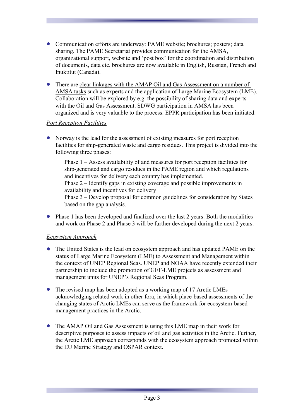- Communication efforts are underway: PAME website; brochures; posters; data sharing. The PAME Secretariat provides communication for the AMSA, organizational support, website and 'post box' for the coordination and distribution of documents, data etc. brochures are now available in English, Russian, French and Inuktitut (Canada).
- There are clear linkages with the AMAP Oil and Gas Assessment on a number of AMSA tasks such as experts and the application of Large Marine Ecosystem (LME). Collaboration will be explored by e.g. the possibility of sharing data and experts with the Oil and Gas Assessment. SDWG participation in AMSA has been organized and is very valuable to the process. EPPR participation has been initiated.

#### *Port Reception Facilities*

• Norway is the lead for the assessment of existing measures for port reception facilities for ship-generated waste and cargo residues. This project is divided into the following three phases:

Phase 1 – Assess availability of and measures for port reception facilities for ship-generated and cargo residues in the PAME region and which regulations and incentives for delivery each country has implemented. Phase 2 – Identify gaps in existing coverage and possible improvements in

availability and incentives for delivery

Phase 3 – Develop proposal for common guidelines for consideration by States based on the gap analysis.

• Phase 1 has been developed and finalized over the last 2 years. Both the modalities and work on Phase 2 and Phase 3 will be further developed during the next 2 years.

#### *Ecosystem Approach*

- The United States is the lead on ecosystem approach and has updated PAME on the status of Large Marine Ecosystem (LME) to Assessment and Management within the context of UNEP Regional Seas. UNEP and NOAA have recently extended their partnership to include the promotion of GEF-LME projects as assessment and management units for UNEP's Regional Seas Program.
- The revised map has been adopted as a working map of 17 Arctic LMEs acknowledging related work in other fora, in which place-based assessments of the changing states of Arctic LMEs can serve as the framework for ecosystem-based management practices in the Arctic.
- The AMAP Oil and Gas Assessment is using this LME map in their work for descriptive purposes to assess impacts of oil and gas activities in the Arctic. Further, the Arctic LME approach corresponds with the ecosystem approach promoted within the EU Marine Strategy and OSPAR context.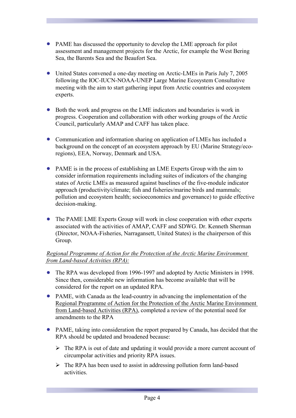- PAME has discussed the opportunity to develop the LME approach for pilot assessment and management projects for the Arctic, for example the West Bering Sea, the Barents Sea and the Beaufort Sea.
- United States convened a one-day meeting on Arctic-LMEs in Paris July 7, 2005 following the IOC-IUCN-NOAA-UNEP Large Marine Ecosystem Consultative meeting with the aim to start gathering input from Arctic countries and ecosystem experts.
- Both the work and progress on the LME indicators and boundaries is work in progress. Cooperation and collaboration with other working groups of the Arctic Council, particularly AMAP and CAFF has taken place.
- Communication and information sharing on application of LMEs has included a background on the concept of an ecosystem approach by EU (Marine Strategy/ecoregions), EEA, Norway, Denmark and USA.
- PAME is in the process of establishing an LME Experts Group with the aim to consider information requirements including suites of indicators of the changing states of Arctic LMEs as measured against baselines of the five-module indicator approach (productivity/climate; fish and fisheries/marine birds and mammals; pollution and ecosystem health; socioeconomics and governance) to guide effective decision-making.
- The PAME LME Experts Group will work in close cooperation with other experts associated with the activities of AMAP, CAFF and SDWG. Dr. Kenneth Sherman (Director, NOAA-Fisheries, Narragansett, United States) is the chairperson of this Group.

#### *Regional Programme of Action for the Protection of the Arctic Marine Environment from Land-based Activities (RPA):*

- The RPA was developed from 1996-1997 and adopted by Arctic Ministers in 1998. Since then, considerable new information has become available that will be considered for the report on an updated RPA.
- PAME, with Canada as the lead-country in advancing the implementation of the Regional Programme of Action for the Protection of the Arctic Marine Environment from Land-based Activities (RPA), completed a review of the potential need for amendments to the RPA
- PAME, taking into consideration the report prepared by Canada, has decided that the RPA should be updated and broadened because:
	- $\triangleright$  The RPA is out of date and updating it would provide a more current account of circumpolar activities and priority RPA issues.
	- $\triangleright$  The RPA has been used to assist in addressing pollution form land-based activities.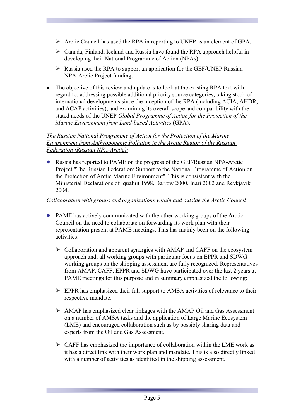- $\triangleright$  Arctic Council has used the RPA in reporting to UNEP as an element of GPA.
- $\triangleright$  Canada, Finland, Iceland and Russia have found the RPA approach helpful in developing their National Programme of Action (NPAs).
- $\triangleright$  Russia used the RPA to support an application for the GEF/UNEP Russian NPA-Arctic Project funding.
- The objective of this review and update is to look at the existing RPA text with regard to: addressing possible additional priority source categories, taking stock of international developments since the inception of the RPA (including ACIA, AHDR, and ACAP activities), and examining its overall scope and compatibility with the stated needs of the UNEP *Global Programme of Action for the Protection of the Marine Environment from Land-based Activities* (GPA).

#### *The Russian National Programme of Action for the Protection of the Marine Environment from Anthropogenic Pollution in the Arctic Region of the Russian Federation (Russian NPA-Arctic):*

• Russia has reported to PAME on the progress of the GEF/Russian NPA-Arctic Project "The Russian Federation: Support to the National Programme of Action on the Protection of Arctic Marine Environment". This is consistent with the Ministerial Declarations of Iqualuit 1998, Barrow 2000, Inari 2002 and Reykjavik 2004.

#### *Collaboration with groups and organizations within and outside the Arctic Council*

- PAME has actively communicated with the other working groups of the Arctic Council on the need to collaborate on forwarding its work plan with their representation present at PAME meetings. This has mainly been on the following activities:
	- $\triangleright$  Collaboration and apparent synergies with AMAP and CAFF on the ecosystem approach and, all working groups with particular focus on EPPR and SDWG working groups on the shipping assessment are fully recognized. Representatives from AMAP, CAFF, EPPR and SDWG have participated over the last 2 years at PAME meetings for this purpose and in summary emphasized the following:
	- $\triangleright$  EPPR has emphasized their full support to AMSA activities of relevance to their respective mandate.
	- $\triangleright$  AMAP has emphasized clear linkages with the AMAP Oil and Gas Assessment on a number of AMSA tasks and the application of Large Marine Ecosystem (LME) and encouraged collaboration such as by possibly sharing data and experts from the Oil and Gas Assessment.
	- $\triangleright$  CAFF has emphasized the importance of collaboration within the LME work as it has a direct link with their work plan and mandate. This is also directly linked with a number of activities as identified in the shipping assessment.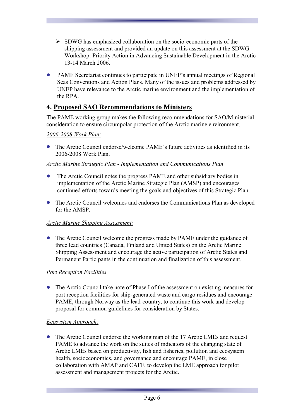- $\triangleright$  SDWG has emphasized collaboration on the socio-economic parts of the shipping assessment and provided an update on this assessment at the SDWG Workshop: Priority Action in Advancing Sustainable Development in the Arctic 13-14 March 2006.
- PAME Secretariat continues to participate in UNEP's annual meetings of Regional Seas Conventions and Action Plans. Many of the issues and problems addressed by UNEP have relevance to the Arctic marine environment and the implementation of the RPA.

# **4. Proposed SAO Recommendations to Ministers**

The PAME working group makes the following recommendations for SAO/Ministerial consideration to ensure circumpolar protection of the Arctic marine environment.

#### *2006-2008 Work Plan:*

• The Arctic Council endorse/welcome PAME's future activities as identified in its 2006-2008 Work Plan.

#### *Arctic Marine Strategic Plan - Implementation and Communications Plan*

- The Arctic Council notes the progress PAME and other subsidiary bodies in implementation of the Arctic Marine Strategic Plan (AMSP) and encourages continued efforts towards meeting the goals and objectives of this Strategic Plan.
- The Arctic Council welcomes and endorses the Communications Plan as developed for the AMSP.

#### *Arctic Marine Shipping Assessment:*

The Arctic Council welcome the progress made by PAME under the guidance of three lead countries (Canada, Finland and United States) on the Arctic Marine Shipping Assessment and encourage the active participation of Arctic States and Permanent Participants in the continuation and finalization of this assessment.

#### *Port Reception Facilities*

• The Arctic Council take note of Phase I of the assessment on existing measures for port reception facilities for ship-generated waste and cargo residues and encourage PAME, through Norway as the lead-country, to continue this work and develop proposal for common guidelines for consideration by States.

#### *Ecosystem Approach:*

• The Arctic Council endorse the working map of the 17 Arctic LMEs and request PAME to advance the work on the suites of indicators of the changing state of Arctic LMEs based on productivity, fish and fisheries, pollution and ecosystem health, socioeconomics, and governance and encourage PAME, in close collaboration with AMAP and CAFF, to develop the LME approach for pilot assessment and management projects for the Arctic.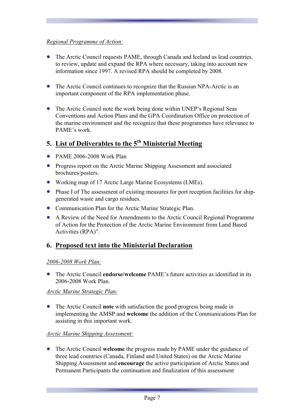#### *Regional Programme of Action:*

- The Arctic Council requests PAME, through Canada and Iceland as lead countries, to review, update and expand the RPA where necessary, taking into account new information since 1997. A revised RPA should be completed by 2008.
- The Arctic Council continues to recognize that the Russian NPA-Arctic is an important component of the RPA implementation phase.
- The Arctic Council note the work being done within UNEP's Regional Seas Conventions and Action Plans and the GPA Coordination Office on protection of the marine environment and the recognize that these programmes have relevance to PAME's work.

# **5. List of Deliverables to the 5th Ministerial Meeting**

- PAME 2006-2008 Work Plan
- Progress report on the Arctic Marine Shipping Assessment and associated brochures/posters.
- Working map of 17 Arctic Large Marine Ecosystems (LMEs).
- Phase I of The assessment of existing measures for port reception facilities for shipgenerated waste and cargo residues.
- Communication Plan for the Arctic Marine Strategic Plan.
- A Review of the Need for Amendments to the Arctic Council Regional Programme of Action for the Protection of the Arctic Marine Environment from Land Based Activities (RPA)".

# **6. Proposed text into the Ministerial Declaration**

#### *2006-2008 Work Plan:*

• The Arctic Council **endorse/welcome** PAME's future activities as identified in its 2006-2008 Work Plan.

#### *Arctic Marine Strategic Plan:*

• The Arctic Council **note** with satisfaction the good progress being made in implementing the AMSP and **welcome** the addition of the Communications Plan for assisting in this important work.

#### *Arctic Marine Shipping Assessment:*

• The Arctic Council **welcome** the progress made by PAME under the guidance of three lead countries (Canada, Finland and United States) on the Arctic Marine Shipping Assessment and **encourage** the active participation of Arctic States and Permanent Participants the continuation and finalization of this assessment